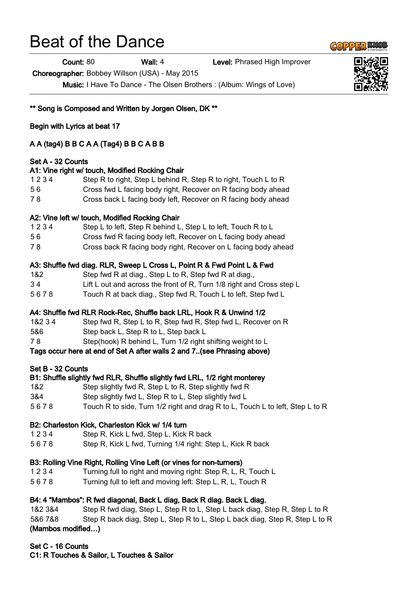# Beat of the Dance

Count: 80 Wall: 4 Level: Phrased High Improver

Choreographer: Bobbey Willson (USA) - May 2015

Music: I Have To Dance - The Olsen Brothers : (Album: Wings of Love)

\*\* Song is Composed and Written by Jorgen Olsen, DK \*\*

Begin with Lyrics at beat 17

# A A (tag4) B B C A A (Tag4) B B C A B B

#### Set A - 32 Counts

#### A1: Vine right w/ touch, Modified Rocking Chair

- 1 2 3 4 Step R to right, Step L behind R, Step R to right, Touch L to R
- 5 6 Cross fwd L facing body right, Recover on R facing body ahead
- 7 8 Cross back L facing body left, Recover on R facing body ahead

#### A2: Vine left w/ touch, Modified Rocking Chair

- 1 2 3 4 Step L to left, Step R behind L, Step L to left, Touch R to L
- 5 6 Cross fwd R facing body left, Recover on L facing body ahead
- 7 8 Cross back R facing body right, Recover on L facing body ahead

#### A3: Shuffle fwd diag. RLR, Sweep L Cross L, Point R & Fwd Point L & Fwd

- 1&2 Step fwd R at diag., Step L to R, Step fwd R at diag.,
- 3 4 Lift L out and across the front of R, Turn 1/8 right and Cross step L
- 5 6 7 8 Touch R at back diag., Step fwd R, Touch L to left, Step fwd L

# A4: Shuffle fwd RLR Rock-Rec, Shuffle back LRL, Hook R & Unwind 1/2

- 1&2 3 4 Step fwd R, Step L to R, Step fwd R, Step fwd L, Recover on R
- 5&6 Step back L, Step R to L, Step back L
- 7 8 Step(hook) R behind L, Turn 1/2 right shifting weight to L

# Tags occur here at end of Set A after walls 2 and 7..(see Phrasing above)

# Set B - 32 Counts

# B1: Shuffle slightly fwd RLR, Shuffle slightly fwd LRL, 1/2 right monterey

- 1&2 Step slightly fwd R, Step L to R, Step slightly fwd R
- 3&4 Step slightly fwd L, Step R to L, Step slightly fwd L
- 5 6 7 8 Touch R to side, Turn 1/2 right and drag R to L, Touch L to left, Step L to R

# B2: Charleston Kick, Charleston Kick w/ 1/4 turn

- 1 2 3 4 Step R, Kick L fwd, Step L, Kick R back
- 5 6 7 8 Step R, Kick L fwd, Turning 1/4 right: Step L, Kick R back

#### B3: Rolling Vine Right, Rolling Vine Left (or vines for non-turners)

- 1 2 3 4 Turning full to right and moving right: Step R, L, R, Touch L
- 5 6 7 8 Turning full to left and moving left: Step L, R, L, Touch R

# B4: 4 "Mambos": R fwd diagonal, Back L diag, Back R diag. Back L diag.

1&2 3&4 Step R fwd diag, Step L, Step R to L, Step L back diag, Step R, Step L to R 5&6 7&8 Step R back diag, Step L, Step R to L, Step L back diag, Step R, Step L to R (Mambos modified…)

# Set C - 16 Counts

C1: R Touches & Sailor, L Touches & Sailor